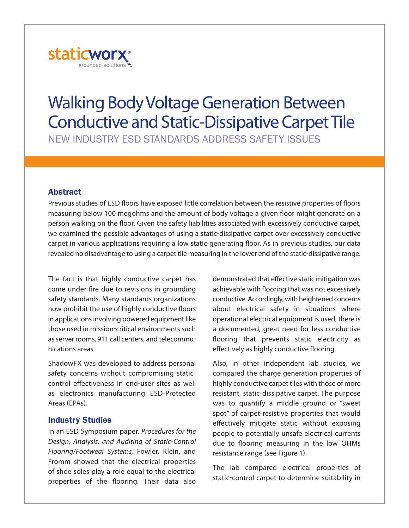

# **Walking Body Voltage Generation Between Conductive and Static-Dissipative Carpet Tile**

New INdustry esd staNdards address safety Issues

## **Abstract**

Previous studies of ESD floors have exposed little correlation between the resistive properties of floors measuring below 100 megohms and the amount of body voltage a given floor might generate on a person walking on the floor. Given the safety liabilities associated with excessively conductive carpet, we examined the possible advantages of using a static-dissipative carpet over excessively conductive carpet in various applications requiring a low static-generating floor. As in previous studies, our data revealed no disadvantage to using a carpet tile measuring in the lower end of the static-dissipative range.

The fact is that highly conductive carpet has come under fire due to revisions in grounding safety standards. Many standards organizations now prohibit the use of highly conductive floors in applications involving powered equipment like those used in mission-critical environments such asserver rooms, 911 call centers, and telecommunications areas.

ShadowFX was developed to address personal safety concerns without compromising staticcontrol effectiveness in end-user sites as well as electronics manufacturing ESD-Protected Areas (EPAs).

## **Industry Studies**

In an ESD Symposium paper, Procedures for the Design, Analysis, and Auditing of Static-Control Flooring/Footwear Systems, Fowler, Klein, and Fromm showed that the electrical properties of shoe soles play a role equal to the electrical properties of the flooring. Their data also

demonstrated that effective static mitigation was achievable with flooring that was not excessively conductive.Accordingly,with heightened concerns about electrical safety in situations where operational electrical equipment is used, there is a documented, great need for less conductive flooring that prevents static electricity as effectively as highly conductive flooring.

Also, in other independent lab studies, we compared the charge generation properties of highly conductive carpet tiles with those of more resistant, static-dissipative carpet. The purpose was to quantify a middle ground or "sweet spot" of carpet-resistive properties that would effectively mitigate static without exposing people to potentially unsafe electrical currents due to flooring measuring in the low OhMs resistance range (see Figure 1).

The lab compared electrical properties of static-control carpet to determine suitability in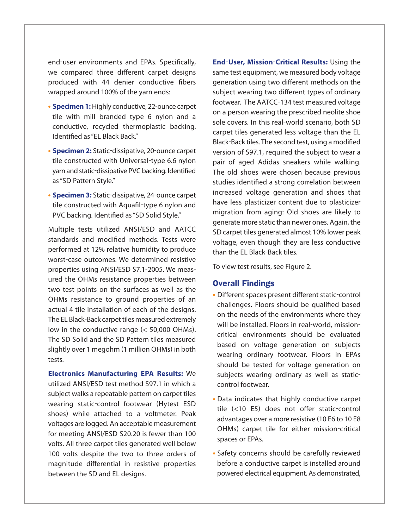end-user environments and EPAs. Specifically, we compared three different carpet designs produced with 44 denier conductive fibers wrapped around 100% of the yarn ends:

- **Specimen 1:** Highly conductive, 22-ounce carpet tile with mill branded type 6 nylon and a conductive, recycled thermoplastic backing. Identified as"EL Black Back."
- **• Specimen 2:** [Static-dissipative,](http://www.staticworx.com) 20-ounce carpet tile constructed with Universal-type 6.6 nylon yarn and static-dissipative PVC backing. Identified as"SD Pattern Style."
- **• Specimen 3:** Static-dissipative, 24-ounce carpet tile constructed with Aquafil-type 6 nylon and PVC backing. Identified as"SD Solid Style."

Multiple tests utilized ANSI/ESD and AATCC standards and modified methods. Tests were performed at 12% relative humidity to produce worst-case outcomes. We determined resistive properties using ANSI/ESD S7.1-2005. We measured the OhMs resistance properties between two test points on the surfaces as well as the OHMs resistance to ground properties of an actual 4 tile installation of each of the designs. The EL Black-Back carpet tiles measured extremely low in the conductive range (< 50,000 OhMs). The SD Solid and the SD Pattern tiles measured slightly over 1 megohm (1 million OhMs) in both tests.

**Electronics Manufacturing EPA Results:** We utilized ANSI/ESD test method S97.1 in which a subject walks a repeatable pattern on carpet tiles wearing static-control footwear (hytest ESD shoes) while attached to a voltmeter. Peak voltages are logged. An acceptable measurement for meeting ANSI/ESD S20.20 is fewer than 100 volts. All three carpet tiles generated well below 100 volts despite the two to three orders of magnitude differential in resistive properties between the SD and EL designs.

**End-User, Mission-Critical Results:** Using the same test equipment, we measured body voltage generation using two different methods on the subject wearing two different types of ordinary footwear. The AATCC-134 test measured voltage on a person wearing the prescribed neolite shoe sole covers. In this real-world scenario, both SD carpet tiles generated less voltage than the EL Black-Back tiles. The second test, using a modified version of S97.1, required the subject to wear a pair of aged Adidas sneakers while walking. The old shoes were chosen because previous studies identified a strong correlation between increased voltage generation and shoes that have less plasticizer content due to plasticizer migration from aging: Old shoes are likely to generate more static than newer ones. Again, the SD carpet tiles generated almost 10% lower peak voltage, even though they are less conductive than the EL Black-Back tiles.

To view test results, see Figure 2.

#### **Overall Findings**

- **•** Different spaces present different static-control challenges. Floors should be qualified based on the needs of the environments where they will be installed. Floors in real-world, missioncritical environments should be evaluated based on voltage generation on subjects wearing ordinary footwear. Floors in EPAs should be tested for voltage generation on subjects wearing ordinary as well as staticcontrol footwear.
- **•** Data indicates that highly conductive carpet tile (<10 E5) does not offer static-control advantages over a more resistive (10 E6 to 10 E8 OhMs) carpet tile for either mission-critical spaces or EPAs.
- **•** Safety concerns should be carefully reviewed before a conductive carpet is installed around powered electrical equipment. As demonstrated,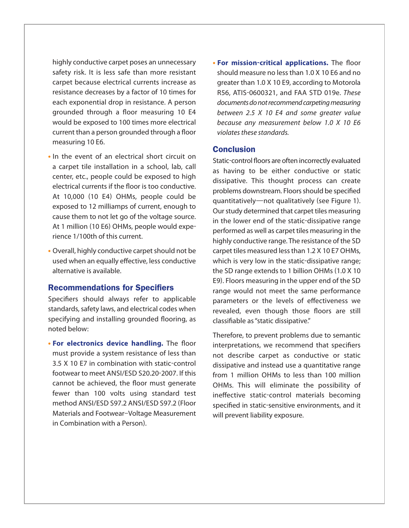highly conductive carpet poses an unnecessary safety risk. It is less safe than more resistant carpet because electrical currents increase as resistance decreases by a factor of 10 times for each exponential drop in resistance. A person grounded through a floor measuring 10 E4 would be exposed to 100 times more electrical current than a person grounded through a floor measuring 10 E6.

- **•** In the event of an electrical short circuit on a carpet tile installation in a school, lab, call center, etc., people could be exposed to high electrical currents if the floor is too conductive. At 10,000 (10 E4) OhMs, people could be exposed to 12 milliamps of current, enough to cause them to not let go of the voltage source. At 1 million (10 E6) OHMs, people would experience 1/100th of this current.
- Overall, highly conductive carpet should not be used when an equally effective, less conductive alternative is available.

#### **Recommendations for Specifiers**

Specifiers should always refer to applicable standards, safety laws, and electrical codes when specifying and installing grounded flooring, as noted below:

**• For electronics device handling.** The floor must provide a system resistance of less than 3.5 X 10 E7 in combination with static-control footwear to meet ANSI/ESD S20.20-2007. If this cannot be achieved, the floor must generate fewer than 100 volts using standard test method ANSI/ESD S97.2 ANSI/ESD S97.2 (Floor Materials and Footwear–Voltage Measurement in Combination with a Person).

**• For mission-critical applications.** The floor should measure no lessthan 1.0 X 10 E6 and no greater than 1.0 X 10 E9, according to Motorola R56, ATIS-0600321, and FAA STD 019e. These documents do not recommend carpeting measuring between 2.5 X 10 E4 and some greater value because any measurement below 1.0 X 10 E6 violates these standards.

### **Conclusion**

Static-control floors are often incorrectly evaluated as having to be either conductive or static dissipative. This thought process can create problems downstream. Floors should be specified quantitatively—not qualitatively (see Figure 1). Our study determined that carpet tiles measuring in the lower end of the static-dissipative range performed as well as carpet tiles measuring in the highly conductive range. The resistance of the SD carpet tiles measured lessthan 1.2 X 10 E7 OhMs, which is very low in the static-dissipative range; the SD range extends to 1 billion OhMs (1.0 X 10 E9). Floors measuring in the upper end of the SD range would not meet the same performance parameters or the levels of effectiveness we revealed, even though those floors are still classifiable as"static dissipative."

Therefore, to prevent problems due to semantic interpretations, we recommend that specifiers not describe carpet as conductive or static dissipative and instead use a quantitative range from 1 million OhMs to less than 100 million OhMs. This will eliminate the possibility of ineffective static-control materials becoming specified in static-sensitive environments, and it will prevent liability exposure.